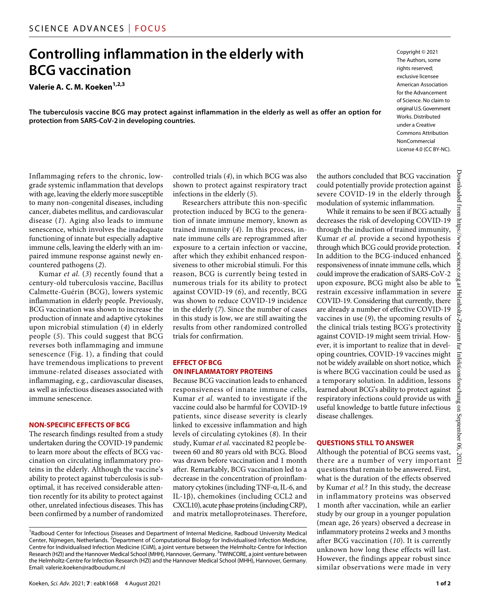## **Controlling inflammation in the elderly with BCG vaccination**

**Valerie A. C. M. Koeken1,2,3**

**The tuberculosis vaccine BCG may protect against inflammation in the elderly as well as offer an option for protection from SARS-CoV-2 in developing countries.**

Inflammaging refers to the chronic, lowgrade systemic inflammation that develops with age, leaving the elderly more susceptible to many non-congenital diseases, including cancer, diabetes mellitus, and cardiovascular disease (*1*). Aging also leads to immune senescence, which involves the inadequate functioning of innate but especially adaptive immune cells, leaving the elderly with an impaired immune response against newly encountered pathogens (*2*).

Kumar *et al.* (*3*) recently found that a century-old tuberculosis vaccine, Bacillus Calmette-Guérin (BCG), lowers systemic inflammation in elderly people. Previously, BCG vaccination was shown to increase the production of innate and adaptive cytokines upon microbial stimulation (*4*) in elderly people (*5*). This could suggest that BCG reverses both inflammaging and immune senescence (Fig. 1), a finding that could have tremendous implications to prevent immune-related diseases associated with inflammaging, e.g., cardiovascular diseases, as well as infectious diseases associated with immune senescence.

#### **NON-SPECIFIC EFFECTS OF BCG**

The research findings resulted from a study undertaken during the COVID-19 pandemic to learn more about the effects of BCG vaccination on circulating inflammatory proteins in the elderly. Although the vaccine's ability to protect against tuberculosis is suboptimal, it has received considerable attention recently for its ability to protect against other, unrelated infectious diseases. This has been confirmed by a number of randomized controlled trials (*4*), in which BCG was also shown to protect against respiratory tract infections in the elderly (*5*).

Researchers attribute this non-specific protection induced by BCG to the generation of innate immune memory, known as trained immunity (*4*). In this process, innate immune cells are reprogrammed after exposure to a certain infection or vaccine, after which they exhibit enhanced responsiveness to other microbial stimuli. For this reason, BCG is currently being tested in numerous trials for its ability to protect against COVID-19 (*6*), and recently, BCG was shown to reduce COVID-19 incidence in the elderly (*7*). Since the number of cases in this study is low, we are still awaiting the results from other randomized controlled trials for confirmation.

#### **EFFECT OF BCG ONINFLAMMATORY PROTEINS**

Because BCG vaccination leads to enhanced responsiveness of innate immune cells, Kumar *et al.* wanted to investigate if the vaccine could also be harmful for COVID-19 patients, since disease severity is clearly linked to excessive inflammation and high levels of circulating cytokines (*8*). In their study, Kumar *et al.* vaccinated 82 people between 60 and 80 years old with BCG. Blood was drawn before vaccination and 1 month after. Remarkably, BCG vaccination led to a decrease in the concentration of proinflammatory cytokines (including TNF- $\alpha$ , IL-6, and  $IL-1\beta$ ), chemokines (including CCL2 and CXCL10), acute phase proteins (including CRP), and matrix metalloproteinases. Therefore, of Science. No claim to original U.S.Government Works. Distributed under a Creative Commons Attribution NonCommercial License 4.0 (CC BY-NC).

Copyright © 2021 The Authors, some rights reserved: exclusive licensee American Association for the Advancement

the authors concluded that BCG vaccination could potentially provide protection against severe COVID-19 in the elderly through modulation of systemic inflammation.

While it remains to be seen if BCG actually decreases the risk of developing COVID-19 through the induction of trained immunity, Kumar *et al.* provide a second hypothesis through which BCG could provide protection. In addition to the BCG-induced enhanced responsiveness of innate immune cells, which could improve the eradication of SARS-CoV-2 upon exposure, BCG might also be able to restrain excessive inflammation in severe COVID-19. Considering that currently, there are already a number of effective COVID-19 vaccines in use (*9*), the upcoming results of the clinical trials testing BCG's protectivity against COVID-19 might seem trivial. However, it is important to realize that in developing countries, COVID-19 vaccines might not be widely available on short notice, which is where BCG vaccination could be used as a temporary solution. In addition, lessons learned about BCG's ability to protect against respiratory infections could provide us with useful knowledge to battle future infectious disease challenges.

#### **QUESTIONS STILL TO ANSWER**

Although the potential of BCG seems vast, there are a number of very important questions that remain to be answered. First, what is the duration of the effects observed by Kumar *et al.*? In this study, the decrease in inflammatory proteins was observed 1 month after vaccination, while an earlier study by our group in a younger population (mean age, 26 years) observed a decrease in inflammatory proteins 2 weeks and 3 months after BCG vaccination (*10*). It is currently unknown how long these effects will last. However, the findings appear robust since similar observations were made in very

<sup>&</sup>lt;sup>1</sup> Radboud Center for Infectious Diseases and Department of Internal Medicine, Radboud University Medical Center, Nijmegen, Netherlands. <sup>2</sup>Department of Computational Biology for Individualised Infection Medicine, Centre for Individualised Infection Medicine (CiiM), a joint venture between the Helmholtz-Centre for Infection Research (HZI) and the Hannover Medical School (MHH), Hannover, Germany. <sup>3</sup>TWINCORE, a joint venture between the Helmholtz-Centre for Infection Research (HZI) and the Hannover Medical School (MHH), Hannover, Germany. Email: [valerie.koeken@radboudumc.nl](mailto:valerie.koeken@radboudumc.nl)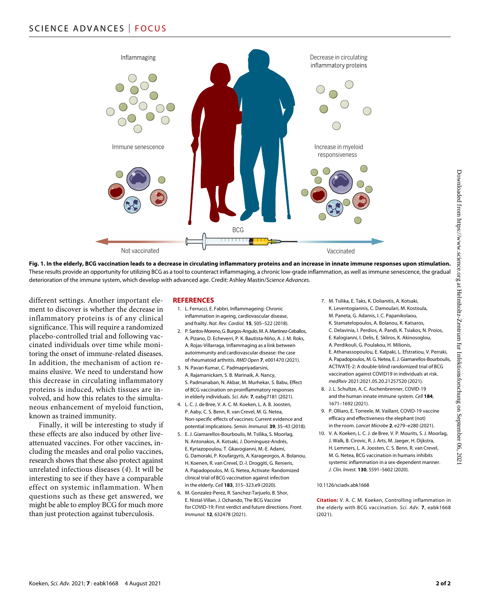

**Fig. 1. In the elderly, BCG vaccination leads to a decrease in circulating inflammatory proteins and an increase in innate immune responses upon stimulation.** These results provide an opportunity for utilizing BCG as a tool to counteract inflammaging, a chronic low-grade inflammation, as well as immune senescence, the gradual deterioration of the immune system, which develop with advanced age. Credit: Ashley Mastin/*Science Advances.*

different settings. Another important element to discover is whether the decrease in inflammatory proteins is of any clinical significance. This will require a randomized placebo-controlled trial and following vaccinated individuals over time while monitoring the onset of immune-related diseases. In addition, the mechanism of action remains elusive. We need to understand how this decrease in circulating inflammatory proteins is induced, which tissues are involved, and how this relates to the simultaneous enhancement of myeloid function, known as trained immunity.

Finally, it will be interesting to study if these effects are also induced by other liveattenuated vaccines. For other vaccines, including the measles and oral polio vaccines, research shows that these also protect against unrelated infectious diseases (*4*). It will be interesting to see if they have a comparable effect on systemic inflammation. When questions such as these get answered, we might be able to employ BCG for much more than just protection against tuberculosis.

#### **REFERENCES**

- 1. L. Ferrucci, E. Fabbri, Inflammageing: Chronic inflammation in ageing, cardiovascular disease, and frailty. *Nat. Rev. Cardiol.* **15**, 505–522 (2018).
- 2. P. Santos-Moreno, G.Burgos-Angulo, M.A.Martinez-Ceballos, A. Pizano, D. Echeverri, P. K. Bautista-Niño, A. J. M. Roks, A. Rojas-Villarraga, Inflammaging as a link between autoimmunity and cardiovascular disease: the case of rheumatoid arthritis. *RMD Open* **7**, e001470 (2021).
- 3. N. Pavan Kumar, C. Padmapriyadarsini, A. Rajamanickam, S. B. Marinaik, A. Nancy, S. Padmanaban, N. Akbar, M. Murhekar, S. Babu, Effect of BCG vaccination on proinflammatory responses in elderly individuals. *Sci. Adv.* **7**, eabg7181 (2021).
- 4. L. C. J. de Bree, V. A. C. M. Koeken, L. A. B. Joosten, P. Aaby, C. S. Benn, R. van Crevel, M. G. Netea, Non-specific effects of vaccines: Current evidence and potential implications. *Semin. Immunol.* **39**, 35–43 (2018).
- 5. E. J. Giamarellos-Bourboulis, M. Tsilika, S. Moorlag, N. Antonakos, A. Kotsaki, J. Domínguez-Andrés, E. Kyriazopoulou, T. Gkavogianni, M.-E. Adami, G. Damoraki, P. Koufargyris, A. Karageorgos, A. Bolanou, H. Koenen, R. van Crevel, D.-I. Droggiti, G. Renieris, A. Papadopoulos, M. G. Netea, Activate: Randomized clinical trial of BCG vaccination against infection in the elderly. *Cell* **183**, 315–323.e9 (2020).
- 6. M. Gonzalez-Perez, R. Sanchez-Tarjuelo, B. Shor, E. Nistal-Villan, J. Ochando, The BCG Vaccine for COVID-19: First verdict and future directions. *Front. Immunol.* **12**, 632478 (2021).
- 7. M. Tsilika, E. Taks, K. Dolianitis, A. Kotsaki, K. Leventogiannis, C. Damoulari, M. Kostoula, M. Paneta, G. Adamis, I. C. Papanikolaou, K. Stamatelopoulos, A. Bolanou, K. Katsaros,
	- C. Delavinia, I. Perdios, A. Pandi, K. Tsiakos, N. Proios, E. Kalogianni, I. Delis, E. Skliros, K. Akinosoglou, A. Perdikouli, G. Poulakou, H. Milionis,
	- E. Athanassopoulou, E. Kalpaki, L. Efstratiou, V. Perraki, A. Papadopoulos, M. G. Netea, E.J. Giamarellos-Bourboulis, ACTIVATE-2: A double-blind randomized trial of BCG vaccination against COVID19 in individuals at risk. *medRxiv* 2021:2021.05.20.21257520 (2021).
- 8. J. L. Schultze, A. C. Aschenbrenner, COVID-19 and the human innate immune system. *Cell* **184**, 1671–1692 (2021).
- 9. P. Olliaro, E. Torreele, M. Vaillant, COVID-19 vaccine efficacy and effectiveness-the elephant (not) in the room. *Lancet Microbe* **2**, e279–e280 (2021).
- 10. V. A. Koeken, L. C. J. de Bree, V. P. Mourits, S. J. Moorlag, J. Walk, B. Cirovic, R. J. Arts, M. Jaeger, H. Dijkstra, H. Lemmers, L. A. Joosten, C. S. Benn, R. van Crevel, M. G. Netea, BCG vaccination in humans inhibits systemic inflammation in a sex-dependent manner. *J. Clin. Invest.* **130**, 5591–5602 (2020).

#### 10.1126/sciadv.abk1668

**Citation:** V. A. C. M. Koeken, Controlling inflammation in the elderly with BCG vaccination. *Sci. Adv.* **7**, eabk1668 (2021).